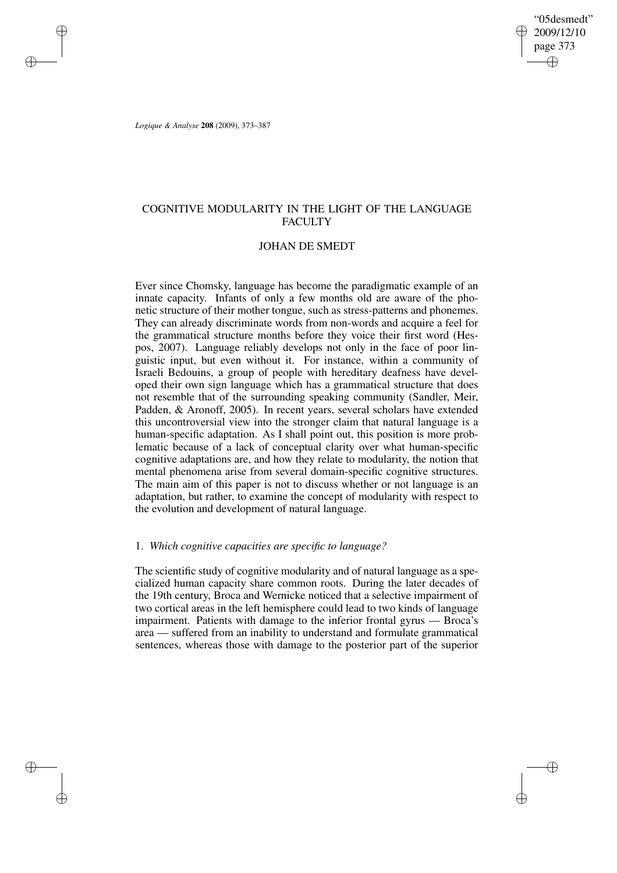"05desmedt" 2009/12/10 page 373 ✐ ✐

✐

✐

*Logique & Analyse* **208** (2009), 373–387

✐

✐

✐

✐

# COGNITIVE MODULARITY IN THE LIGHT OF THE LANGUAGE **FACULTY**

## JOHAN DE SMEDT

Ever since Chomsky, language has become the paradigmatic example of an innate capacity. Infants of only a few months old are aware of the phonetic structure of their mother tongue, such as stress-patterns and phonemes. They can already discriminate words from non-words and acquire a feel for the grammatical structure months before they voice their first word (Hespos, 2007). Language reliably develops not only in the face of poor linguistic input, but even without it. For instance, within a community of Israeli Bedouins, a group of people with hereditary deafness have developed their own sign language which has a grammatical structure that does not resemble that of the surrounding speaking community (Sandler, Meir, Padden, & Aronoff, 2005). In recent years, several scholars have extended this uncontroversial view into the stronger claim that natural language is a human-specific adaptation. As I shall point out, this position is more problematic because of a lack of conceptual clarity over what human-specific cognitive adaptations are, and how they relate to modularity, the notion that mental phenomena arise from several domain-specific cognitive structures. The main aim of this paper is not to discuss whether or not language is an adaptation, but rather, to examine the concept of modularity with respect to the evolution and development of natural language.

### 1. *Which cognitive capacities are specific to language?*

The scientific study of cognitive modularity and of natural language as a specialized human capacity share common roots. During the later decades of the 19th century, Broca and Wernicke noticed that a selective impairment of two cortical areas in the left hemisphere could lead to two kinds of language impairment. Patients with damage to the inferior frontal gyrus — Broca's area — suffered from an inability to understand and formulate grammatical sentences, whereas those with damage to the posterior part of the superior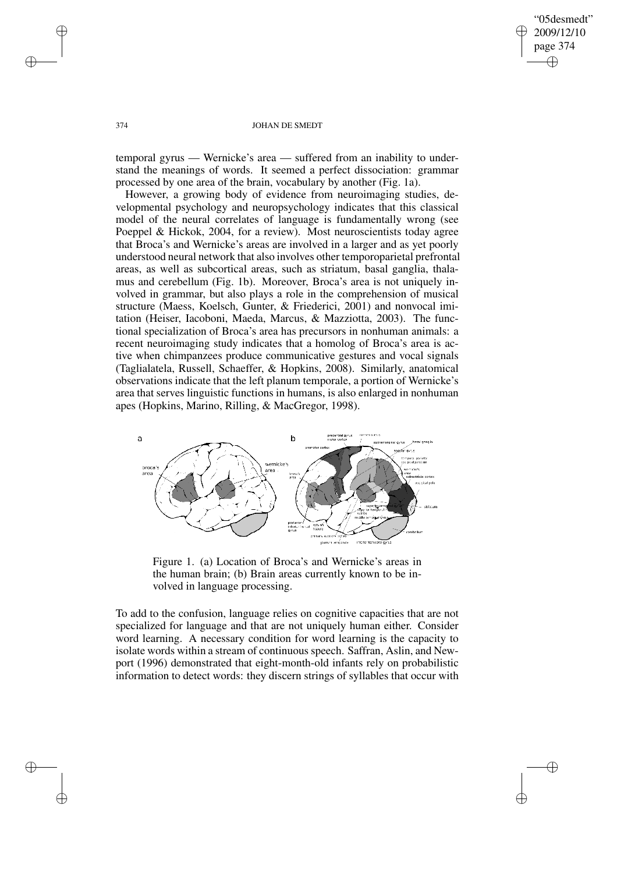✐

✐

### 374 JOHAN DE SMEDT

temporal gyrus — Wernicke's area — suffered from an inability to understand the meanings of words. It seemed a perfect dissociation: grammar processed by one area of the brain, vocabulary by another (Fig. 1a).

However, a growing body of evidence from neuroimaging studies, developmental psychology and neuropsychology indicates that this classical model of the neural correlates of language is fundamentally wrong (see Poeppel & Hickok, 2004, for a review). Most neuroscientists today agree that Broca's and Wernicke's areas are involved in a larger and as yet poorly understood neural network that also involves other temporoparietal prefrontal areas, as well as subcortical areas, such as striatum, basal ganglia, thalamus and cerebellum (Fig. 1b). Moreover, Broca's area is not uniquely involved in grammar, but also plays a role in the comprehension of musical structure (Maess, Koelsch, Gunter, & Friederici, 2001) and nonvocal imitation (Heiser, Iacoboni, Maeda, Marcus, & Mazziotta, 2003). The functional specialization of Broca's area has precursors in nonhuman animals: a recent neuroimaging study indicates that a homolog of Broca's area is active when chimpanzees produce communicative gestures and vocal signals (Taglialatela, Russell, Schaeffer, & Hopkins, 2008). Similarly, anatomical observations indicate that the left planum temporale, a portion of Wernicke's area that serves linguistic functions in humans, is also enlarged in nonhuman apes (Hopkins, Marino, Rilling, & MacGregor, 1998).



Figure 1. (a) Location of Broca's and Wernicke's areas in the human brain; (b) Brain areas currently known to be involved in language processing.

To add to the confusion, language relies on cognitive capacities that are not specialized for language and that are not uniquely human either. Consider word learning. A necessary condition for word learning is the capacity to isolate words within a stream of continuous speech. Saffran, Aslin, and Newport (1996) demonstrated that eight-month-old infants rely on probabilistic information to detect words: they discern strings of syllables that occur with

✐

✐

✐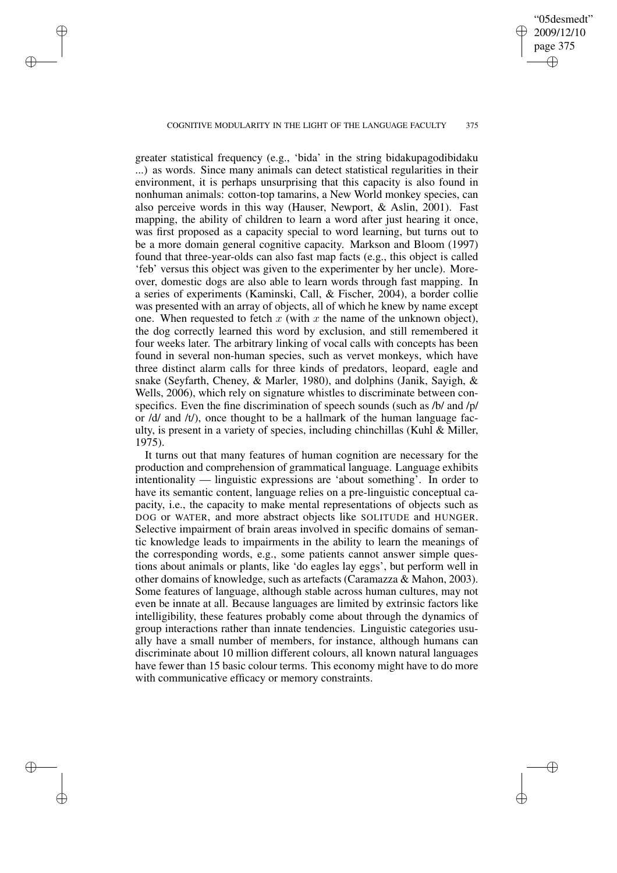### COGNITIVE MODULARITY IN THE LIGHT OF THE LANGUAGE FACULTY 375

✐

✐

✐

✐

"05desmedt" 2009/12/10 page 375

✐

✐

✐

✐

greater statistical frequency (e.g., 'bida' in the string bidakupagodibidaku ...) as words. Since many animals can detect statistical regularities in their environment, it is perhaps unsurprising that this capacity is also found in nonhuman animals: cotton-top tamarins, a New World monkey species, can also perceive words in this way (Hauser, Newport, & Aslin, 2001). Fast mapping, the ability of children to learn a word after just hearing it once, was first proposed as a capacity special to word learning, but turns out to be a more domain general cognitive capacity. Markson and Bloom (1997) found that three-year-olds can also fast map facts (e.g., this object is called 'feb' versus this object was given to the experimenter by her uncle). Moreover, domestic dogs are also able to learn words through fast mapping. In a series of experiments (Kaminski, Call, & Fischer, 2004), a border collie was presented with an array of objects, all of which he knew by name except one. When requested to fetch  $x$  (with  $x$  the name of the unknown object), the dog correctly learned this word by exclusion, and still remembered it four weeks later. The arbitrary linking of vocal calls with concepts has been found in several non-human species, such as vervet monkeys, which have three distinct alarm calls for three kinds of predators, leopard, eagle and snake (Seyfarth, Cheney, & Marler, 1980), and dolphins (Janik, Sayigh,  $\&$ Wells, 2006), which rely on signature whistles to discriminate between conspecifics. Even the fine discrimination of speech sounds (such as /b/ and /p/ or /d/ and /t/), once thought to be a hallmark of the human language faculty, is present in a variety of species, including chinchillas (Kuhl & Miller, 1975).

It turns out that many features of human cognition are necessary for the production and comprehension of grammatical language. Language exhibits intentionality — linguistic expressions are 'about something'. In order to have its semantic content, language relies on a pre-linguistic conceptual capacity, i.e., the capacity to make mental representations of objects such as DOG or WATER, and more abstract objects like SOLITUDE and HUNGER. Selective impairment of brain areas involved in specific domains of semantic knowledge leads to impairments in the ability to learn the meanings of the corresponding words, e.g., some patients cannot answer simple questions about animals or plants, like 'do eagles lay eggs', but perform well in other domains of knowledge, such as artefacts (Caramazza & Mahon, 2003). Some features of language, although stable across human cultures, may not even be innate at all. Because languages are limited by extrinsic factors like intelligibility, these features probably come about through the dynamics of group interactions rather than innate tendencies. Linguistic categories usually have a small number of members, for instance, although humans can discriminate about 10 million different colours, all known natural languages have fewer than 15 basic colour terms. This economy might have to do more with communicative efficacy or memory constraints.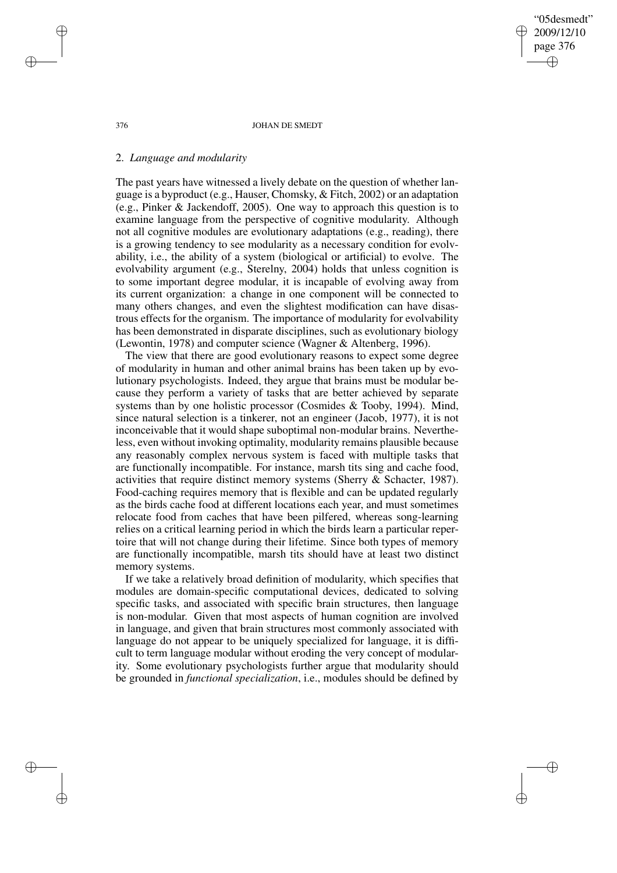"05desmedt" 2009/12/10 page 376 ✐ ✐

✐

✐

#### 376 JOHAN DE SMEDT

### 2. *Language and modularity*

The past years have witnessed a lively debate on the question of whether language is a byproduct (e.g., Hauser, Chomsky, & Fitch, 2002) or an adaptation (e.g., Pinker & Jackendoff, 2005). One way to approach this question is to examine language from the perspective of cognitive modularity. Although not all cognitive modules are evolutionary adaptations (e.g., reading), there is a growing tendency to see modularity as a necessary condition for evolvability, i.e., the ability of a system (biological or artificial) to evolve. The evolvability argument (e.g., Sterelny, 2004) holds that unless cognition is to some important degree modular, it is incapable of evolving away from its current organization: a change in one component will be connected to many others changes, and even the slightest modification can have disastrous effects for the organism. The importance of modularity for evolvability has been demonstrated in disparate disciplines, such as evolutionary biology (Lewontin, 1978) and computer science (Wagner & Altenberg, 1996).

The view that there are good evolutionary reasons to expect some degree of modularity in human and other animal brains has been taken up by evolutionary psychologists. Indeed, they argue that brains must be modular because they perform a variety of tasks that are better achieved by separate systems than by one holistic processor (Cosmides & Tooby, 1994). Mind, since natural selection is a tinkerer, not an engineer (Jacob, 1977), it is not inconceivable that it would shape suboptimal non-modular brains. Nevertheless, even without invoking optimality, modularity remains plausible because any reasonably complex nervous system is faced with multiple tasks that are functionally incompatible. For instance, marsh tits sing and cache food, activities that require distinct memory systems (Sherry & Schacter, 1987). Food-caching requires memory that is flexible and can be updated regularly as the birds cache food at different locations each year, and must sometimes relocate food from caches that have been pilfered, whereas song-learning relies on a critical learning period in which the birds learn a particular repertoire that will not change during their lifetime. Since both types of memory are functionally incompatible, marsh tits should have at least two distinct memory systems.

If we take a relatively broad definition of modularity, which specifies that modules are domain-specific computational devices, dedicated to solving specific tasks, and associated with specific brain structures, then language is non-modular. Given that most aspects of human cognition are involved in language, and given that brain structures most commonly associated with language do not appear to be uniquely specialized for language, it is difficult to term language modular without eroding the very concept of modularity. Some evolutionary psychologists further argue that modularity should be grounded in *functional specialization*, i.e., modules should be defined by

✐

✐

✐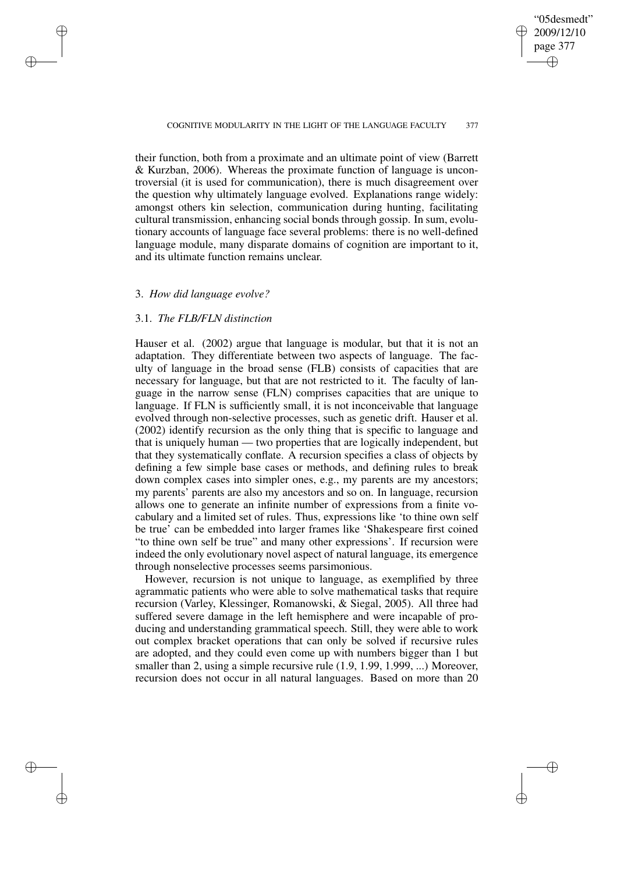### "05desmedt" 2009/12/10 page 377 ✐ ✐

✐

✐

### COGNITIVE MODULARITY IN THE LIGHT OF THE LANGUAGE FACULTY 377

their function, both from a proximate and an ultimate point of view (Barrett & Kurzban, 2006). Whereas the proximate function of language is uncontroversial (it is used for communication), there is much disagreement over the question why ultimately language evolved. Explanations range widely: amongst others kin selection, communication during hunting, facilitating cultural transmission, enhancing social bonds through gossip. In sum, evolutionary accounts of language face several problems: there is no well-defined language module, many disparate domains of cognition are important to it, and its ultimate function remains unclear.

## 3. *How did language evolve?*

✐

✐

✐

✐

## 3.1. *The FLB/FLN distinction*

Hauser et al. (2002) argue that language is modular, but that it is not an adaptation. They differentiate between two aspects of language. The faculty of language in the broad sense (FLB) consists of capacities that are necessary for language, but that are not restricted to it. The faculty of language in the narrow sense (FLN) comprises capacities that are unique to language. If FLN is sufficiently small, it is not inconceivable that language evolved through non-selective processes, such as genetic drift. Hauser et al. (2002) identify recursion as the only thing that is specific to language and that is uniquely human — two properties that are logically independent, but that they systematically conflate. A recursion specifies a class of objects by defining a few simple base cases or methods, and defining rules to break down complex cases into simpler ones, e.g., my parents are my ancestors; my parents' parents are also my ancestors and so on. In language, recursion allows one to generate an infinite number of expressions from a finite vocabulary and a limited set of rules. Thus, expressions like 'to thine own self be true' can be embedded into larger frames like 'Shakespeare first coined "to thine own self be true" and many other expressions'. If recursion were indeed the only evolutionary novel aspect of natural language, its emergence through nonselective processes seems parsimonious.

However, recursion is not unique to language, as exemplified by three agrammatic patients who were able to solve mathematical tasks that require recursion (Varley, Klessinger, Romanowski, & Siegal, 2005). All three had suffered severe damage in the left hemisphere and were incapable of producing and understanding grammatical speech. Still, they were able to work out complex bracket operations that can only be solved if recursive rules are adopted, and they could even come up with numbers bigger than 1 but smaller than 2, using a simple recursive rule (1.9, 1.99, 1.999, ...) Moreover, recursion does not occur in all natural languages. Based on more than 20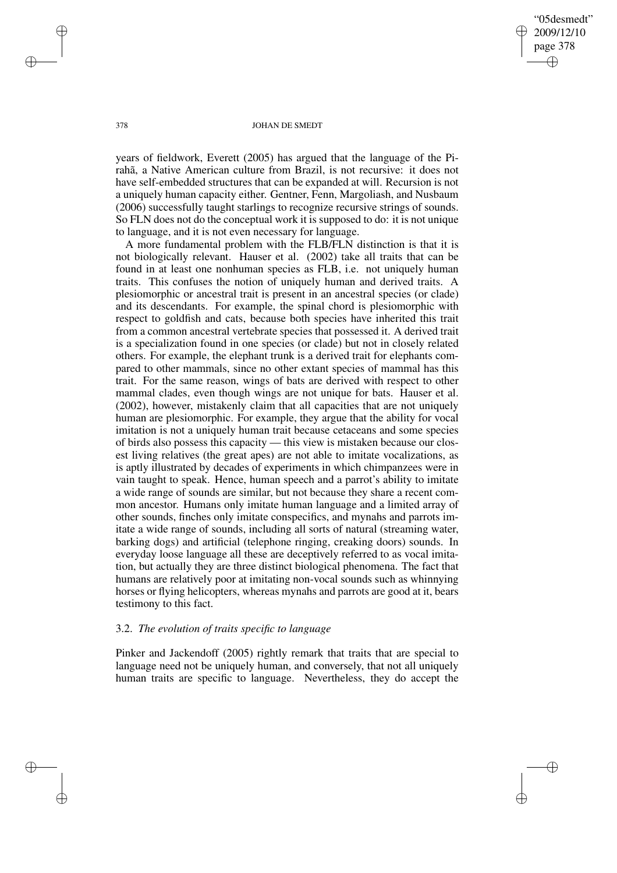"05desmedt" 2009/12/10 page 378 ✐ ✐

✐

✐

### 378 JOHAN DE SMEDT

years of fieldwork, Everett (2005) has argued that the language of the Pirahã, a Native American culture from Brazil, is not recursive: it does not have self-embedded structures that can be expanded at will. Recursion is not a uniquely human capacity either. Gentner, Fenn, Margoliash, and Nusbaum (2006) successfully taught starlings to recognize recursive strings of sounds. So FLN does not do the conceptual work it is supposed to do: it is not unique to language, and it is not even necessary for language.

A more fundamental problem with the FLB/FLN distinction is that it is not biologically relevant. Hauser et al. (2002) take all traits that can be found in at least one nonhuman species as FLB, i.e. not uniquely human traits. This confuses the notion of uniquely human and derived traits. A plesiomorphic or ancestral trait is present in an ancestral species (or clade) and its descendants. For example, the spinal chord is plesiomorphic with respect to goldfish and cats, because both species have inherited this trait from a common ancestral vertebrate species that possessed it. A derived trait is a specialization found in one species (or clade) but not in closely related others. For example, the elephant trunk is a derived trait for elephants compared to other mammals, since no other extant species of mammal has this trait. For the same reason, wings of bats are derived with respect to other mammal clades, even though wings are not unique for bats. Hauser et al. (2002), however, mistakenly claim that all capacities that are not uniquely human are plesiomorphic. For example, they argue that the ability for vocal imitation is not a uniquely human trait because cetaceans and some species of birds also possess this capacity — this view is mistaken because our closest living relatives (the great apes) are not able to imitate vocalizations, as is aptly illustrated by decades of experiments in which chimpanzees were in vain taught to speak. Hence, human speech and a parrot's ability to imitate a wide range of sounds are similar, but not because they share a recent common ancestor. Humans only imitate human language and a limited array of other sounds, finches only imitate conspecifics, and mynahs and parrots imitate a wide range of sounds, including all sorts of natural (streaming water, barking dogs) and artificial (telephone ringing, creaking doors) sounds. In everyday loose language all these are deceptively referred to as vocal imitation, but actually they are three distinct biological phenomena. The fact that humans are relatively poor at imitating non-vocal sounds such as whinnying horses or flying helicopters, whereas mynahs and parrots are good at it, bears testimony to this fact.

## 3.2. *The evolution of traits specific to language*

Pinker and Jackendoff (2005) rightly remark that traits that are special to language need not be uniquely human, and conversely, that not all uniquely human traits are specific to language. Nevertheless, they do accept the

✐

✐

✐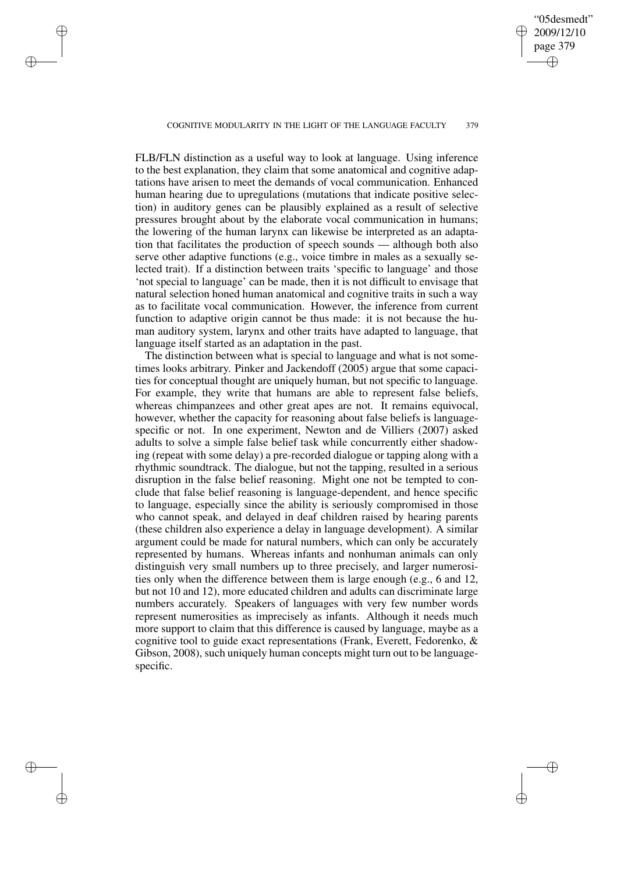#### COGNITIVE MODULARITY IN THE LIGHT OF THE LANGUAGE FACULTY 379

✐

✐

✐

✐

"05desmedt" 2009/12/10 page 379

✐

✐

✐

✐

FLB/FLN distinction as a useful way to look at language. Using inference to the best explanation, they claim that some anatomical and cognitive adaptations have arisen to meet the demands of vocal communication. Enhanced human hearing due to upregulations (mutations that indicate positive selection) in auditory genes can be plausibly explained as a result of selective pressures brought about by the elaborate vocal communication in humans; the lowering of the human larynx can likewise be interpreted as an adaptation that facilitates the production of speech sounds — although both also serve other adaptive functions (e.g., voice timbre in males as a sexually selected trait). If a distinction between traits 'specific to language' and those 'not special to language' can be made, then it is not difficult to envisage that natural selection honed human anatomical and cognitive traits in such a way as to facilitate vocal communication. However, the inference from current function to adaptive origin cannot be thus made: it is not because the human auditory system, larynx and other traits have adapted to language, that language itself started as an adaptation in the past.

The distinction between what is special to language and what is not sometimes looks arbitrary. Pinker and Jackendoff (2005) argue that some capacities for conceptual thought are uniquely human, but not specific to language. For example, they write that humans are able to represent false beliefs, whereas chimpanzees and other great apes are not. It remains equivocal, however, whether the capacity for reasoning about false beliefs is languagespecific or not. In one experiment, Newton and de Villiers (2007) asked adults to solve a simple false belief task while concurrently either shadowing (repeat with some delay) a pre-recorded dialogue or tapping along with a rhythmic soundtrack. The dialogue, but not the tapping, resulted in a serious disruption in the false belief reasoning. Might one not be tempted to conclude that false belief reasoning is language-dependent, and hence specific to language, especially since the ability is seriously compromised in those who cannot speak, and delayed in deaf children raised by hearing parents (these children also experience a delay in language development). A similar argument could be made for natural numbers, which can only be accurately represented by humans. Whereas infants and nonhuman animals can only distinguish very small numbers up to three precisely, and larger numerosities only when the difference between them is large enough (e.g., 6 and 12, but not 10 and 12), more educated children and adults can discriminate large numbers accurately. Speakers of languages with very few number words represent numerosities as imprecisely as infants. Although it needs much more support to claim that this difference is caused by language, maybe as a cognitive tool to guide exact representations (Frank, Everett, Fedorenko, & Gibson, 2008), such uniquely human concepts might turn out to be languagespecific.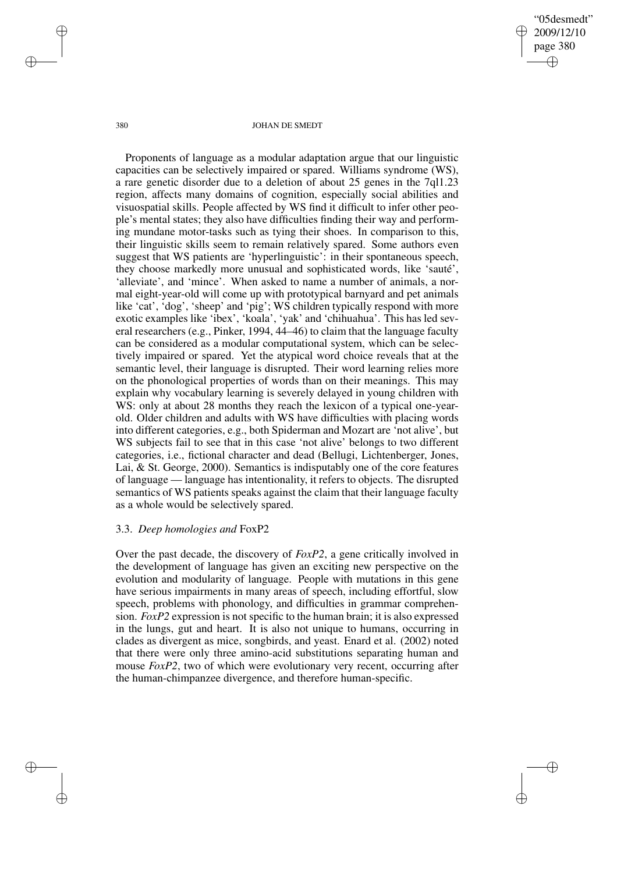"05desmedt" 2009/12/10 page 380 ✐ ✐

✐

✐

#### 380 JOHAN DE SMEDT

Proponents of language as a modular adaptation argue that our linguistic capacities can be selectively impaired or spared. Williams syndrome (WS), a rare genetic disorder due to a deletion of about 25 genes in the 7ql1.23 region, affects many domains of cognition, especially social abilities and visuospatial skills. People affected by WS find it difficult to infer other people's mental states; they also have difficulties finding their way and performing mundane motor-tasks such as tying their shoes. In comparison to this, their linguistic skills seem to remain relatively spared. Some authors even suggest that WS patients are 'hyperlinguistic': in their spontaneous speech, they choose markedly more unusual and sophisticated words, like 'sauté', 'alleviate', and 'mince'. When asked to name a number of animals, a normal eight-year-old will come up with prototypical barnyard and pet animals like 'cat', 'dog', 'sheep' and 'pig'; WS children typically respond with more exotic examples like 'ibex', 'koala', 'yak' and 'chihuahua'. This has led several researchers (e.g., Pinker, 1994, 44–46) to claim that the language faculty can be considered as a modular computational system, which can be selectively impaired or spared. Yet the atypical word choice reveals that at the semantic level, their language is disrupted. Their word learning relies more on the phonological properties of words than on their meanings. This may explain why vocabulary learning is severely delayed in young children with WS: only at about 28 months they reach the lexicon of a typical one-yearold. Older children and adults with WS have difficulties with placing words into different categories, e.g., both Spiderman and Mozart are 'not alive', but WS subjects fail to see that in this case 'not alive' belongs to two different categories, i.e., fictional character and dead (Bellugi, Lichtenberger, Jones, Lai, & St. George, 2000). Semantics is indisputably one of the core features of language — language has intentionality, it refers to objects. The disrupted semantics of WS patients speaks against the claim that their language faculty as a whole would be selectively spared.

## 3.3. *Deep homologies and* FoxP2

Over the past decade, the discovery of *FoxP2*, a gene critically involved in the development of language has given an exciting new perspective on the evolution and modularity of language. People with mutations in this gene have serious impairments in many areas of speech, including effortful, slow speech, problems with phonology, and difficulties in grammar comprehension. *FoxP2* expression is not specific to the human brain; it is also expressed in the lungs, gut and heart. It is also not unique to humans, occurring in clades as divergent as mice, songbirds, and yeast. Enard et al. (2002) noted that there were only three amino-acid substitutions separating human and mouse *FoxP2*, two of which were evolutionary very recent, occurring after the human-chimpanzee divergence, and therefore human-specific.

✐

✐

✐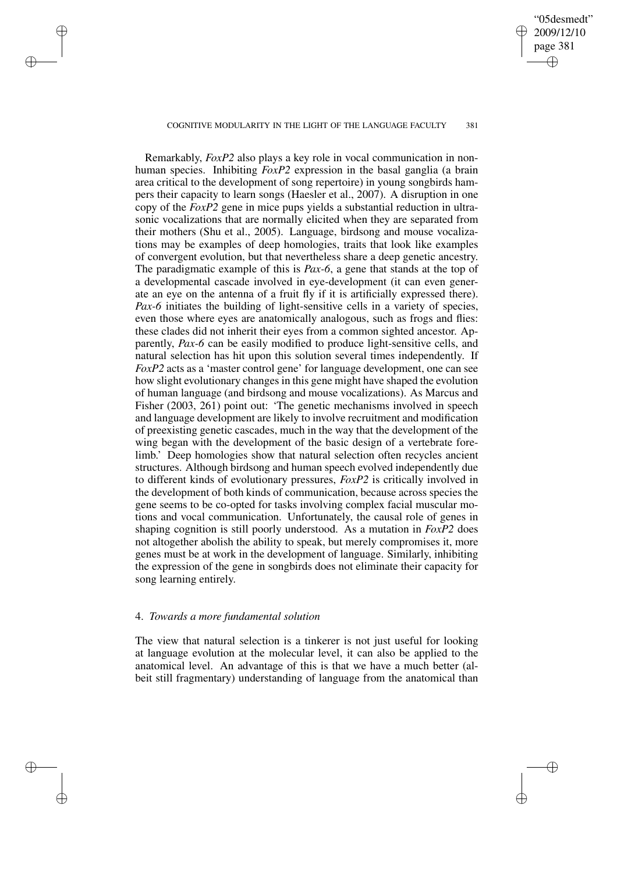### COGNITIVE MODULARITY IN THE LIGHT OF THE LANGUAGE FACULTY 381

✐

✐

✐

✐

"05desmedt" 2009/12/10 page 381

✐

✐

✐

✐

Remarkably, *FoxP2* also plays a key role in vocal communication in nonhuman species. Inhibiting *FoxP2* expression in the basal ganglia (a brain area critical to the development of song repertoire) in young songbirds hampers their capacity to learn songs (Haesler et al., 2007). A disruption in one copy of the *FoxP2* gene in mice pups yields a substantial reduction in ultrasonic vocalizations that are normally elicited when they are separated from their mothers (Shu et al., 2005). Language, birdsong and mouse vocalizations may be examples of deep homologies, traits that look like examples of convergent evolution, but that nevertheless share a deep genetic ancestry. The paradigmatic example of this is *Pax-6*, a gene that stands at the top of a developmental cascade involved in eye-development (it can even generate an eye on the antenna of a fruit fly if it is artificially expressed there). *Pax-6* initiates the building of light-sensitive cells in a variety of species, even those where eyes are anatomically analogous, such as frogs and flies: these clades did not inherit their eyes from a common sighted ancestor. Apparently, *Pax-6* can be easily modified to produce light-sensitive cells, and natural selection has hit upon this solution several times independently. If *FoxP2* acts as a 'master control gene' for language development, one can see how slight evolutionary changes in this gene might have shaped the evolution of human language (and birdsong and mouse vocalizations). As Marcus and Fisher (2003, 261) point out: 'The genetic mechanisms involved in speech and language development are likely to involve recruitment and modification of preexisting genetic cascades, much in the way that the development of the wing began with the development of the basic design of a vertebrate forelimb.' Deep homologies show that natural selection often recycles ancient structures. Although birdsong and human speech evolved independently due to different kinds of evolutionary pressures, *FoxP2* is critically involved in the development of both kinds of communication, because across species the gene seems to be co-opted for tasks involving complex facial muscular motions and vocal communication. Unfortunately, the causal role of genes in shaping cognition is still poorly understood. As a mutation in *FoxP2* does not altogether abolish the ability to speak, but merely compromises it, more genes must be at work in the development of language. Similarly, inhibiting the expression of the gene in songbirds does not eliminate their capacity for song learning entirely.

### 4. *Towards a more fundamental solution*

The view that natural selection is a tinkerer is not just useful for looking at language evolution at the molecular level, it can also be applied to the anatomical level. An advantage of this is that we have a much better (albeit still fragmentary) understanding of language from the anatomical than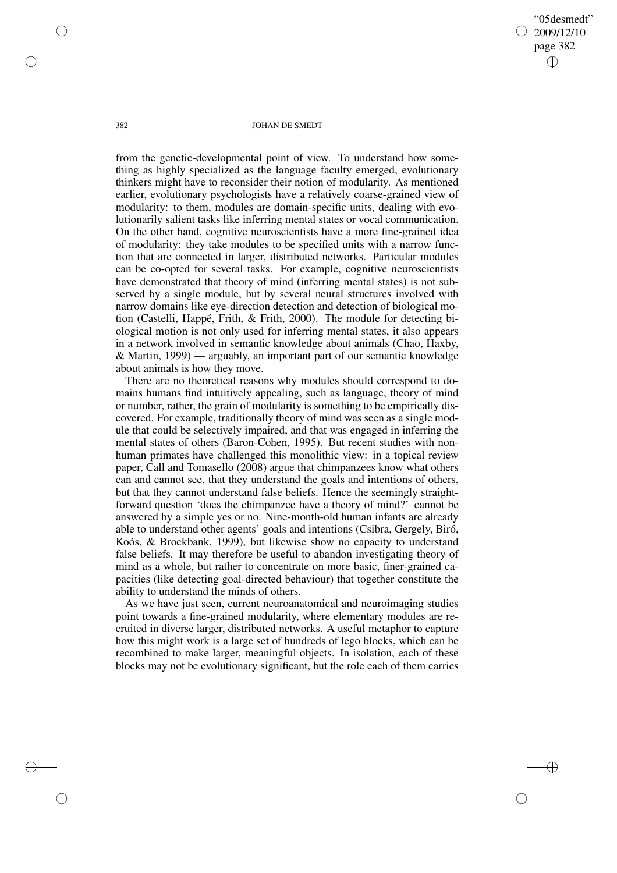"05desmedt" 2009/12/10 page 382 ✐ ✐

✐

✐

#### 382 JOHAN DE SMEDT

from the genetic-developmental point of view. To understand how something as highly specialized as the language faculty emerged, evolutionary thinkers might have to reconsider their notion of modularity. As mentioned earlier, evolutionary psychologists have a relatively coarse-grained view of modularity: to them, modules are domain-specific units, dealing with evolutionarily salient tasks like inferring mental states or vocal communication. On the other hand, cognitive neuroscientists have a more fine-grained idea of modularity: they take modules to be specified units with a narrow function that are connected in larger, distributed networks. Particular modules can be co-opted for several tasks. For example, cognitive neuroscientists have demonstrated that theory of mind (inferring mental states) is not subserved by a single module, but by several neural structures involved with narrow domains like eye-direction detection and detection of biological motion (Castelli, Happé, Frith, & Frith, 2000). The module for detecting biological motion is not only used for inferring mental states, it also appears in a network involved in semantic knowledge about animals (Chao, Haxby, & Martin, 1999) — arguably, an important part of our semantic knowledge about animals is how they move.

There are no theoretical reasons why modules should correspond to domains humans find intuitively appealing, such as language, theory of mind or number, rather, the grain of modularity is something to be empirically discovered. For example, traditionally theory of mind was seen as a single module that could be selectively impaired, and that was engaged in inferring the mental states of others (Baron-Cohen, 1995). But recent studies with nonhuman primates have challenged this monolithic view: in a topical review paper, Call and Tomasello (2008) argue that chimpanzees know what others can and cannot see, that they understand the goals and intentions of others, but that they cannot understand false beliefs. Hence the seemingly straightforward question 'does the chimpanzee have a theory of mind?' cannot be answered by a simple yes or no. Nine-month-old human infants are already able to understand other agents' goals and intentions (Csibra, Gergely, Biró, Koós, & Brockbank, 1999), but likewise show no capacity to understand false beliefs. It may therefore be useful to abandon investigating theory of mind as a whole, but rather to concentrate on more basic, finer-grained capacities (like detecting goal-directed behaviour) that together constitute the ability to understand the minds of others.

As we have just seen, current neuroanatomical and neuroimaging studies point towards a fine-grained modularity, where elementary modules are recruited in diverse larger, distributed networks. A useful metaphor to capture how this might work is a large set of hundreds of lego blocks, which can be recombined to make larger, meaningful objects. In isolation, each of these blocks may not be evolutionary significant, but the role each of them carries

✐

✐

✐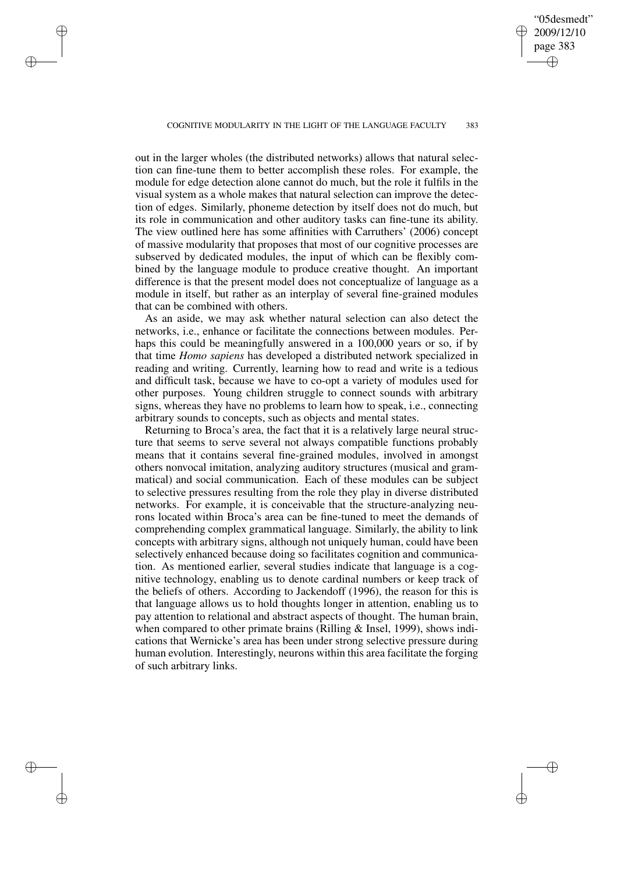"05desmedt" 2009/12/10 page 383 ✐ ✐

✐

✐

### COGNITIVE MODULARITY IN THE LIGHT OF THE LANGUAGE FACULTY 383

✐

✐

✐

✐

out in the larger wholes (the distributed networks) allows that natural selection can fine-tune them to better accomplish these roles. For example, the module for edge detection alone cannot do much, but the role it fulfils in the visual system as a whole makes that natural selection can improve the detection of edges. Similarly, phoneme detection by itself does not do much, but its role in communication and other auditory tasks can fine-tune its ability. The view outlined here has some affinities with Carruthers' (2006) concept of massive modularity that proposes that most of our cognitive processes are subserved by dedicated modules, the input of which can be flexibly combined by the language module to produce creative thought. An important difference is that the present model does not conceptualize of language as a module in itself, but rather as an interplay of several fine-grained modules that can be combined with others.

As an aside, we may ask whether natural selection can also detect the networks, i.e., enhance or facilitate the connections between modules. Perhaps this could be meaningfully answered in a 100,000 years or so, if by that time *Homo sapiens* has developed a distributed network specialized in reading and writing. Currently, learning how to read and write is a tedious and difficult task, because we have to co-opt a variety of modules used for other purposes. Young children struggle to connect sounds with arbitrary signs, whereas they have no problems to learn how to speak, i.e., connecting arbitrary sounds to concepts, such as objects and mental states.

Returning to Broca's area, the fact that it is a relatively large neural structure that seems to serve several not always compatible functions probably means that it contains several fine-grained modules, involved in amongst others nonvocal imitation, analyzing auditory structures (musical and grammatical) and social communication. Each of these modules can be subject to selective pressures resulting from the role they play in diverse distributed networks. For example, it is conceivable that the structure-analyzing neurons located within Broca's area can be fine-tuned to meet the demands of comprehending complex grammatical language. Similarly, the ability to link concepts with arbitrary signs, although not uniquely human, could have been selectively enhanced because doing so facilitates cognition and communication. As mentioned earlier, several studies indicate that language is a cognitive technology, enabling us to denote cardinal numbers or keep track of the beliefs of others. According to Jackendoff (1996), the reason for this is that language allows us to hold thoughts longer in attention, enabling us to pay attention to relational and abstract aspects of thought. The human brain, when compared to other primate brains (Rilling & Insel, 1999), shows indications that Wernicke's area has been under strong selective pressure during human evolution. Interestingly, neurons within this area facilitate the forging of such arbitrary links.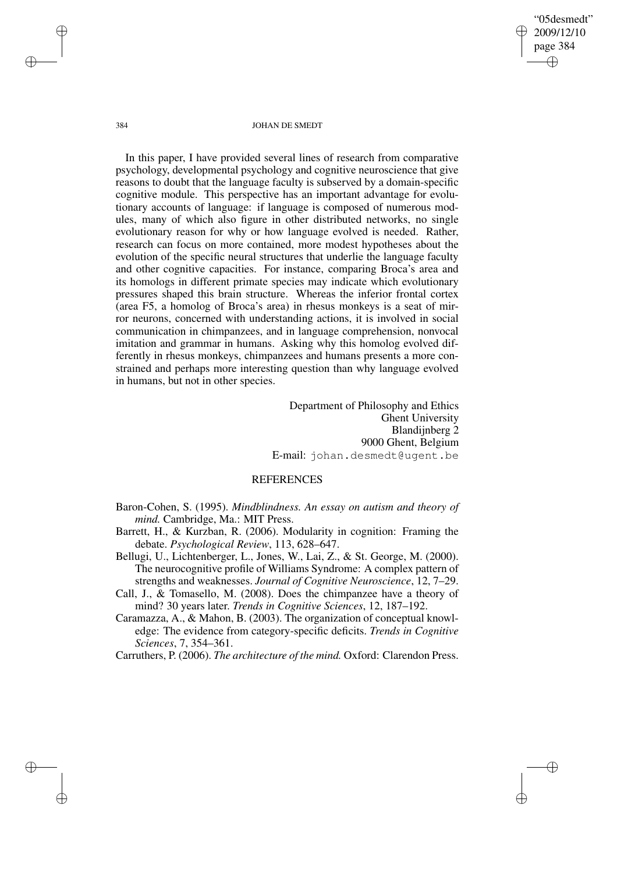"05desmedt" 2009/12/10 page 384 ✐ ✐

✐

✐

#### 384 JOHAN DE SMEDT

In this paper, I have provided several lines of research from comparative psychology, developmental psychology and cognitive neuroscience that give reasons to doubt that the language faculty is subserved by a domain-specific cognitive module. This perspective has an important advantage for evolutionary accounts of language: if language is composed of numerous modules, many of which also figure in other distributed networks, no single evolutionary reason for why or how language evolved is needed. Rather, research can focus on more contained, more modest hypotheses about the evolution of the specific neural structures that underlie the language faculty and other cognitive capacities. For instance, comparing Broca's area and its homologs in different primate species may indicate which evolutionary pressures shaped this brain structure. Whereas the inferior frontal cortex (area F5, a homolog of Broca's area) in rhesus monkeys is a seat of mirror neurons, concerned with understanding actions, it is involved in social communication in chimpanzees, and in language comprehension, nonvocal imitation and grammar in humans. Asking why this homolog evolved differently in rhesus monkeys, chimpanzees and humans presents a more constrained and perhaps more interesting question than why language evolved in humans, but not in other species.

> Department of Philosophy and Ethics Ghent University Blandijnberg 2 9000 Ghent, Belgium E-mail: johan.desmedt@ugent.be

## REFERENCES

Baron-Cohen, S. (1995). *Mindblindness. An essay on autism and theory of mind.* Cambridge, Ma.: MIT Press.

- Barrett, H., & Kurzban, R. (2006). Modularity in cognition: Framing the debate. *Psychological Review*, 113, 628–647.
- Bellugi, U., Lichtenberger, L., Jones, W., Lai, Z., & St. George, M. (2000). The neurocognitive profile of Williams Syndrome: A complex pattern of strengths and weaknesses. *Journal of Cognitive Neuroscience*, 12, 7–29.
- Call, J., & Tomasello, M. (2008). Does the chimpanzee have a theory of mind? 30 years later. *Trends in Cognitive Sciences*, 12, 187–192.
- Caramazza, A., & Mahon, B. (2003). The organization of conceptual knowledge: The evidence from category-specific deficits. *Trends in Cognitive Sciences*, 7, 354–361.
- Carruthers, P. (2006). *The architecture of the mind.* Oxford: Clarendon Press.

✐

✐

✐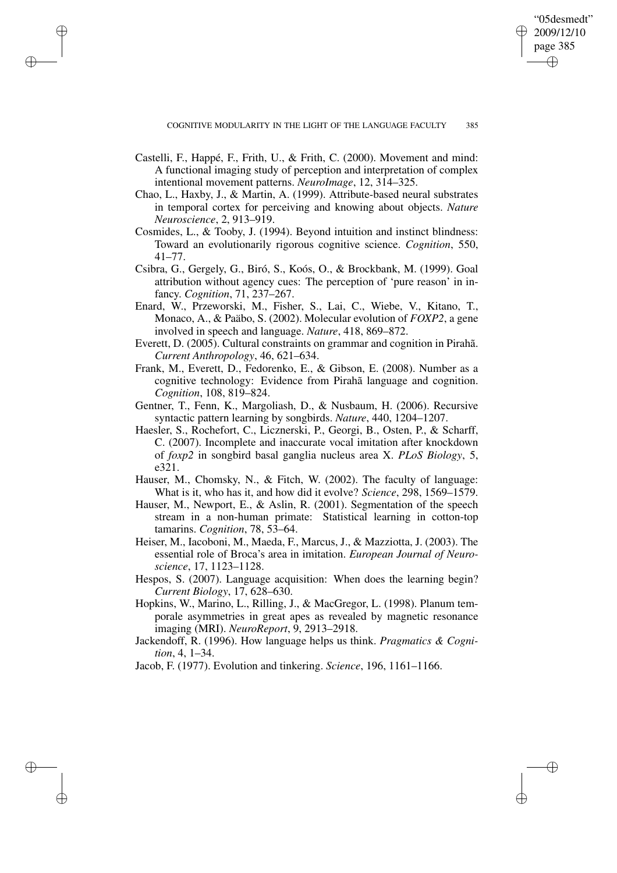"05desmedt" 2009/12/10 page 385

✐

✐

✐

✐

Castelli, F., Happé, F., Frith, U., & Frith, C. (2000). Movement and mind: A functional imaging study of perception and interpretation of complex intentional movement patterns. *NeuroImage*, 12, 314–325.

✐

✐

✐

- Chao, L., Haxby, J., & Martin, A. (1999). Attribute-based neural substrates in temporal cortex for perceiving and knowing about objects. *Nature Neuroscience*, 2, 913–919.
- Cosmides, L., & Tooby, J. (1994). Beyond intuition and instinct blindness: Toward an evolutionarily rigorous cognitive science. *Cognition*, 550, 41–77.
- Csibra, G., Gergely, G., Biró, S., Koós, O., & Brockbank, M. (1999). Goal attribution without agency cues: The perception of 'pure reason' in infancy. *Cognition*, 71, 237–267.
- Enard, W., Przeworski, M., Fisher, S., Lai, C., Wiebe, V., Kitano, T., Monaco, A., & Paäbo, S. (2002). Molecular evolution of *FOXP2*, a gene involved in speech and language. *Nature*, 418, 869–872.
- Everett, D. (2005). Cultural constraints on grammar and cognition in Pirahã. *Current Anthropology*, 46, 621–634.
- Frank, M., Everett, D., Fedorenko, E., & Gibson, E. (2008). Number as a cognitive technology: Evidence from Pirahã language and cognition. *Cognition*, 108, 819–824.
- Gentner, T., Fenn, K., Margoliash, D., & Nusbaum, H. (2006). Recursive syntactic pattern learning by songbirds. *Nature*, 440, 1204–1207.
- Haesler, S., Rochefort, C., Licznerski, P., Georgi, B., Osten, P., & Scharff, C. (2007). Incomplete and inaccurate vocal imitation after knockdown of *foxp2* in songbird basal ganglia nucleus area X. *PLoS Biology*, 5, e321.
- Hauser, M., Chomsky, N., & Fitch, W. (2002). The faculty of language: What is it, who has it, and how did it evolve? *Science*, 298, 1569–1579.
- Hauser, M., Newport, E., & Aslin, R. (2001). Segmentation of the speech stream in a non-human primate: Statistical learning in cotton-top tamarins. *Cognition*, 78, 53–64.
- Heiser, M., Iacoboni, M., Maeda, F., Marcus, J., & Mazziotta, J. (2003). The essential role of Broca's area in imitation. *European Journal of Neuroscience*, 17, 1123–1128.
- Hespos, S. (2007). Language acquisition: When does the learning begin? *Current Biology*, 17, 628–630.
- Hopkins, W., Marino, L., Rilling, J., & MacGregor, L. (1998). Planum temporale asymmetries in great apes as revealed by magnetic resonance imaging (MRI). *NeuroReport*, 9, 2913–2918.
- Jackendoff, R. (1996). How language helps us think. *Pragmatics & Cognition*, 4, 1–34.
- Jacob, F. (1977). Evolution and tinkering. *Science*, 196, 1161–1166.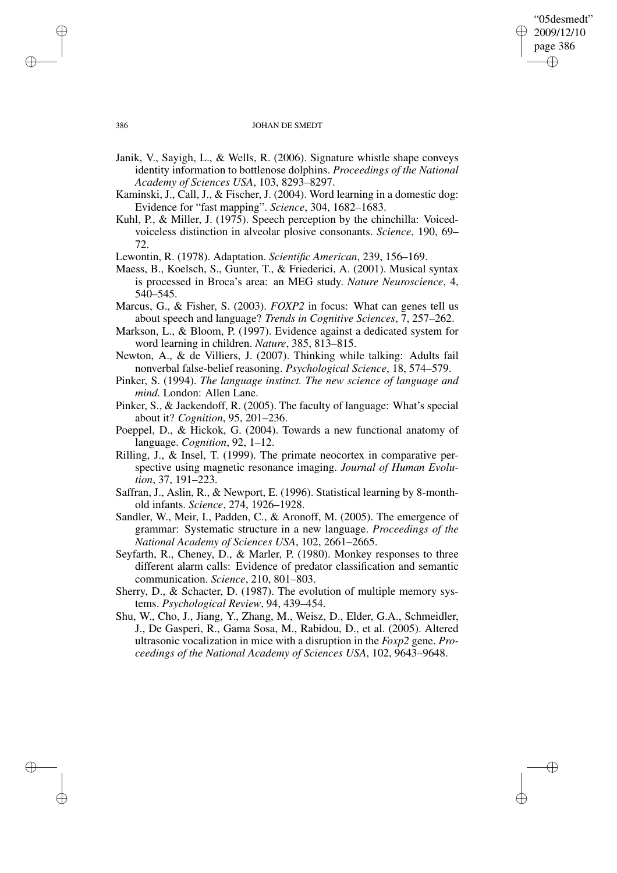### "05desmedt" 2009/12/10 page 386 ✐ ✐

✐

✐

### 386 JOHAN DE SMEDT

- Janik, V., Sayigh, L., & Wells, R. (2006). Signature whistle shape conveys identity information to bottlenose dolphins. *Proceedings of the National Academy of Sciences USA*, 103, 8293–8297.
- Kaminski, J., Call, J., & Fischer, J. (2004). Word learning in a domestic dog: Evidence for "fast mapping". *Science*, 304, 1682–1683.
- Kuhl, P., & Miller, J. (1975). Speech perception by the chinchilla: Voicedvoiceless distinction in alveolar plosive consonants. *Science*, 190, 69– 72.
- Lewontin, R. (1978). Adaptation. *Scientific American*, 239, 156–169.
- Maess, B., Koelsch, S., Gunter, T., & Friederici, A. (2001). Musical syntax is processed in Broca's area: an MEG study. *Nature Neuroscience*, 4, 540–545.
- Marcus, G., & Fisher, S. (2003). *FOXP2* in focus: What can genes tell us about speech and language? *Trends in Cognitive Sciences*, 7, 257–262.
- Markson, L., & Bloom, P. (1997). Evidence against a dedicated system for word learning in children. *Nature*, 385, 813–815.
- Newton, A., & de Villiers, J. (2007). Thinking while talking: Adults fail nonverbal false-belief reasoning. *Psychological Science*, 18, 574–579.
- Pinker, S. (1994). *The language instinct. The new science of language and mind.* London: Allen Lane.
- Pinker, S., & Jackendoff, R. (2005). The faculty of language: What's special about it? *Cognition*, 95, 201–236.
- Poeppel, D., & Hickok, G. (2004). Towards a new functional anatomy of language. *Cognition*, 92, 1–12.
- Rilling, J., & Insel, T. (1999). The primate neocortex in comparative perspective using magnetic resonance imaging. *Journal of Human Evolution*, 37, 191–223.
- Saffran, J., Aslin, R., & Newport, E. (1996). Statistical learning by 8-monthold infants. *Science*, 274, 1926–1928.
- Sandler, W., Meir, I., Padden, C., & Aronoff, M. (2005). The emergence of grammar: Systematic structure in a new language. *Proceedings of the National Academy of Sciences USA*, 102, 2661–2665.
- Seyfarth, R., Cheney, D., & Marler, P. (1980). Monkey responses to three different alarm calls: Evidence of predator classification and semantic communication. *Science*, 210, 801–803.
- Sherry, D., & Schacter, D. (1987). The evolution of multiple memory systems. *Psychological Review*, 94, 439–454.
- Shu, W., Cho, J., Jiang, Y., Zhang, M., Weisz, D., Elder, G.A., Schmeidler, J., De Gasperi, R., Gama Sosa, M., Rabidou, D., et al. (2005). Altered ultrasonic vocalization in mice with a disruption in the *Foxp2* gene. *Proceedings of the National Academy of Sciences USA*, 102, 9643–9648.

✐

✐

✐